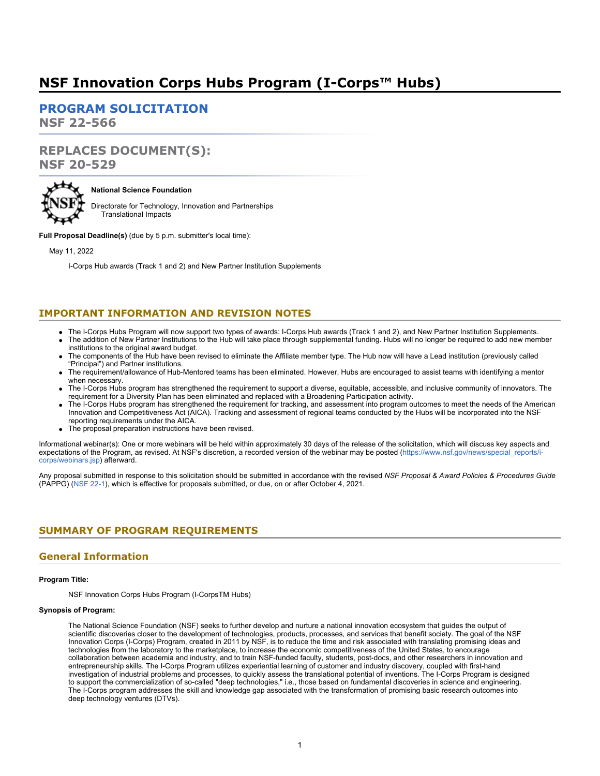# **NSF Innovation Corps Hubs Program (I-Corps™ Hubs)**

**[PROGRAM SOLICITATION](#page-3-0)**

**NSF 22-566**

# **REPLACES DOCUMENT(S): NSF 20-529**



# **National Science Foundation**

Directorate for Technology, Innovation and Partnerships Translational Impacts

**Full Proposal Deadline(s)** (due by 5 p.m. submitter's local time):

May 11, 2022

I-Corps Hub awards (Track 1 and 2) and New Partner Institution Supplements

# **IMPORTANT INFORMATION AND REVISION NOTES**

- The I-Corps Hubs Program will now support two types of awards: I-Corps Hub awards (Track 1 and 2), and New Partner Institution Supplements.
- The addition of New Partner Institutions to the Hub will take place through supplemental funding. Hubs will no longer be required to add new member institutions to the original award budget.
- The components of the Hub have been revised to eliminate the Affiliate member type. The Hub now will have a Lead institution (previously called "Principal") and Partner institutions.
- The requirement/allowance of Hub-Mentored teams has been eliminated. However, Hubs are encouraged to assist teams with identifying a mentor when necessary.
- The I-Corps Hubs program has strengthened the requirement to support a diverse, equitable, accessible, and inclusive community of innovators. The requirement for a Diversity Plan has been eliminated and replaced with a Broadening Participation activity.
- The I-Corps Hubs program has strengthened the requirement for tracking, and assessment into program outcomes to meet the needs of the American Innovation and Competitiveness Act (AICA). Tracking and assessment of regional teams conducted by the Hubs will be incorporated into the NSF reporting requirements under the AICA.
- The proposal preparation instructions have been revised.

Informational webinar(s): One or more webinars will be held within approximately 30 days of the release of the solicitation, which will discuss key aspects and expectations of the Program, as revised. At NSF's discretion, a recorded version of the webinar may be posted [\(https://www.nsf.gov/news/special\\_reports/i](https://www.nsf.gov/news/special_reports/i-corps/webinars.jsp)[corps/webinars.jsp\)](https://www.nsf.gov/news/special_reports/i-corps/webinars.jsp) afterward.

Any proposal submitted in response to this solicitation should be submitted in accordance with the revised *NSF Proposal & Award Policies & Procedures Guide* (PAPPG) [\(NSF 22-1](https://www.nsf.gov/publications/pub_summ.jsp?ods_key=nsf22001&org=NSF)), which is effective for proposals submitted, or due, on or after October 4, 2021.

# <span id="page-0-0"></span>**SUMMARY OF PROGRAM REQUIREMENTS**

# **General Information**

## **Program Title:**

NSF Innovation Corps Hubs Program (I-CorpsTM Hubs)

# **Synopsis of Program:**

The National Science Foundation (NSF) seeks to further develop and nurture a national innovation ecosystem that guides the output of scientific discoveries closer to the development of technologies, products, processes, and services that benefit society. The goal of the NSF Innovation Corps (I-Corps) Program, created in 2011 by NSF, is to reduce the time and risk associated with translating promising ideas and technologies from the laboratory to the marketplace, to increase the economic competitiveness of the United States, to encourage collaboration between academia and industry, and to train NSF-funded faculty, students, post-docs, and other researchers in innovation and entrepreneurship skills. The I-Corps Program utilizes experiential learning of customer and industry discovery, coupled with first-hand investigation of industrial problems and processes, to quickly assess the translational potential of inventions. The I-Corps Program is designed to support the commercialization of so-called "deep technologies," i.e., those based on fundamental discoveries in science and engineering. The I-Corps program addresses the skill and knowledge gap associated with the transformation of promising basic research outcomes into deep technology ventures (DTVs).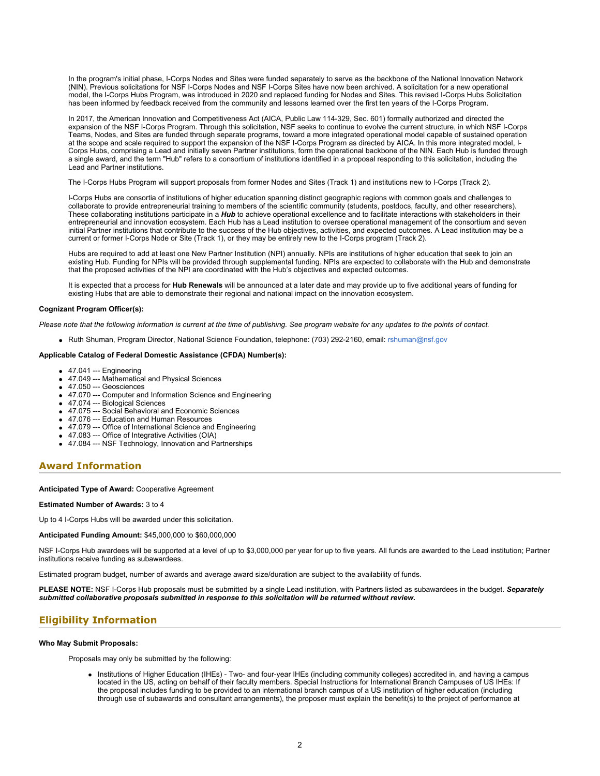In the program's initial phase, I-Corps Nodes and Sites were funded separately to serve as the backbone of the National Innovation Network (NIN). Previous solicitations for NSF I-Corps Nodes and NSF I-Corps Sites have now been archived. A solicitation for a new operational model, the I-Corps Hubs Program, was introduced in 2020 and replaced funding for Nodes and Sites. This revised I-Corps Hubs Solicitation has been informed by feedback received from the community and lessons learned over the first ten years of the I-Corps Program.

In 2017, the American Innovation and Competitiveness Act (AICA, Public Law 114-329, Sec. 601) formally authorized and directed the expansion of the NSF I-Corps Program. Through this solicitation, NSF seeks to continue to evolve the current structure, in which NSF I-Corps Teams, Nodes, and Sites are funded through separate programs, toward a more integrated operational model capable of sustained operation at the scope and scale required to support the expansion of the NSF I-Corps Program as directed by AICA. In this more integrated model, I-Corps Hubs, comprising a Lead and initially seven Partner institutions, form the operational backbone of the NIN. Each Hub is funded through a single award, and the term "Hub" refers to a consortium of institutions identified in a proposal responding to this solicitation, including the Lead and Partner institutions.

The I-Corps Hubs Program will support proposals from former Nodes and Sites (Track 1) and institutions new to I-Corps (Track 2).

I-Corps Hubs are consortia of institutions of higher education spanning distinct geographic regions with common goals and challenges to collaborate to provide entrepreneurial training to members of the scientific community (students, postdocs, faculty, and other researchers). These collaborating institutions participate in a *Hub* to achieve operational excellence and to facilitate interactions with stakeholders in their entrepreneurial and innovation ecosystem. Each Hub has a Lead institution to oversee operational management of the consortium and seven initial Partner institutions that contribute to the success of the Hub objectives, activities, and expected outcomes. A Lead institution may be a current or former I-Corps Node or Site (Track 1), or they may be entirely new to the I-Corps program (Track 2).

Hubs are required to add at least one New Partner Institution (NPI) annually. NPIs are institutions of higher education that seek to join an existing Hub. Funding for NPIs will be provided through supplemental funding. NPIs are expected to collaborate with the Hub and demonstrate that the proposed activities of the NPI are coordinated with the Hub's objectives and expected outcomes.

It is expected that a process for **Hub Renewals** will be announced at a later date and may provide up to five additional years of funding for existing Hubs that are able to demonstrate their regional and national impact on the innovation ecosystem.

#### **Cognizant Program Officer(s):**

*Please note that the following information is current at the time of publishing. See program website for any updates to the points of contact.*

Ruth Shuman, Program Director, National Science Foundation, telephone: (703) 292-2160, email: [rshuman@nsf.gov](mailto:rshuman@nsf.gov)

### **Applicable Catalog of Federal Domestic Assistance (CFDA) Number(s):**

- 47.041 --- Engineering
- 47.049 --- Mathematical and Physical Sciences
- 47.050 --- Geosciences
- 47.070 --- Computer and Information Science and Engineering
- 47.074 --- Biological Sciences
- 47.075 --- Social Behavioral and Economic Sciences
- 47.076 --- Education and Human Resources
- 47.079 --- Office of International Science and Engineering
- 47.083 --- Office of Integrative Activities (OIA)
- 47.084 --- NSF Technology, Innovation and Partnerships

# **Award Information**

#### **Anticipated Type of Award:** Cooperative Agreement

#### **Estimated Number of Awards:** 3 to 4

Up to 4 I-Corps Hubs will be awarded under this solicitation.

#### **Anticipated Funding Amount:** \$45,000,000 to \$60,000,000

NSF I-Corps Hub awardees will be supported at a level of up to \$3,000,000 per year for up to five years. All funds are awarded to the Lead institution; Partner institutions receive funding as subawardees.

Estimated program budget, number of awards and average award size/duration are subject to the availability of funds.

**PLEASE NOTE:** NSF I-Corps Hub proposals must be submitted by a single Lead institution, with Partners listed as subawardees in the budget. *Separately submitted collaborative proposals submitted in response to this solicitation will be returned without review.*

# **Eligibility Information**

#### **Who May Submit Proposals:**

Proposals may only be submitted by the following:

Institutions of Higher Education (IHEs) - Two- and four-year IHEs (including community colleges) accredited in, and having a campus located in the US, acting on behalf of their faculty members. Special Instructions for International Branch Campuses of US IHEs: If the proposal includes funding to be provided to an international branch campus of a US institution of higher education (including through use of subawards and consultant arrangements), the proposer must explain the benefit(s) to the project of performance at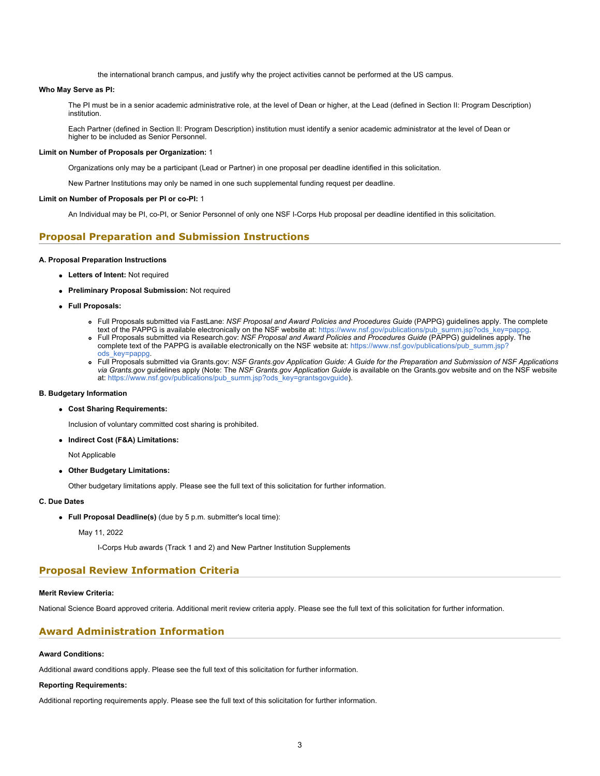the international branch campus, and justify why the project activities cannot be performed at the US campus.

### **Who May Serve as PI:**

The PI must be in a senior academic administrative role, at the level of Dean or higher, at the Lead (defined in Section II: Program Description) institution.

Each Partner (defined in Section II: Program Description) institution must identify a senior academic administrator at the level of Dean or higher to be included as Senior Personnel.

### **Limit on Number of Proposals per Organization:** 1

Organizations only may be a participant (Lead or Partner) in one proposal per deadline identified in this solicitation.

New Partner Institutions may only be named in one such supplemental funding request per deadline.

#### **Limit on Number of Proposals per PI or co-PI:** 1

An Individual may be PI, co-PI, or Senior Personnel of only one NSF I-Corps Hub proposal per deadline identified in this solicitation.

# **Proposal Preparation and Submission Instructions**

### **A. Proposal Preparation Instructions**

- **Letters of Intent:** Not required
- **Preliminary Proposal Submission:** Not required
- **Full Proposals:**
	- Full Proposals submitted via FastLane: *NSF Proposal and Award Policies and Procedures Guide* (PAPPG) guidelines apply. The complete
	- text of the PAPPG is available electronically on the NSF website at: [https://www.nsf.gov/publications/pub\\_summ.jsp?ods\\_key=pappg](https://www.nsf.gov/publications/pub_summ.jsp?ods_key=pappg). Full Proposals submitted via Research.gov: *NSF Proposal and Award Policies and Procedures Guide* (PAPPG) guidelines apply. The
	- complete text of the PAPPG is available electronically on the NSF website at: [https://www.nsf.gov/publications/pub\\_summ.jsp?](https://www.nsf.gov/publications/pub_summ.jsp?ods_key=pappg) [ods\\_key=pappg.](https://www.nsf.gov/publications/pub_summ.jsp?ods_key=pappg)
	- Full Proposals submitted via Grants.gov: *NSF Grants.gov Application Guide: A Guide for the Preparation and Submission of NSF Applications via Grants.gov* guidelines apply (Note: The *NSF Grants.gov Application Guide* is available on the Grants.gov website and on the NSF website at: [https://www.nsf.gov/publications/pub\\_summ.jsp?ods\\_key=grantsgovguide](https://www.nsf.gov/publications/pub_summ.jsp?ods_key=grantsgovguide)).

### **B. Budgetary Information**

#### **Cost Sharing Requirements:**

Inclusion of voluntary committed cost sharing is prohibited.

**Indirect Cost (F&A) Limitations:**

Not Applicable

**Other Budgetary Limitations:**

Other budgetary limitations apply. Please see the full text of this solicitation for further information.

# **C. Due Dates**

**Full Proposal Deadline(s)** (due by 5 p.m. submitter's local time):

## May 11, 2022

I-Corps Hub awards (Track 1 and 2) and New Partner Institution Supplements

# **Proposal Review Information Criteria**

#### **Merit Review Criteria:**

National Science Board approved criteria. Additional merit review criteria apply. Please see the full text of this solicitation for further information.

# **Award Administration Information**

## **Award Conditions:**

Additional award conditions apply. Please see the full text of this solicitation for further information.

## **Reporting Requirements:**

Additional reporting requirements apply. Please see the full text of this solicitation for further information.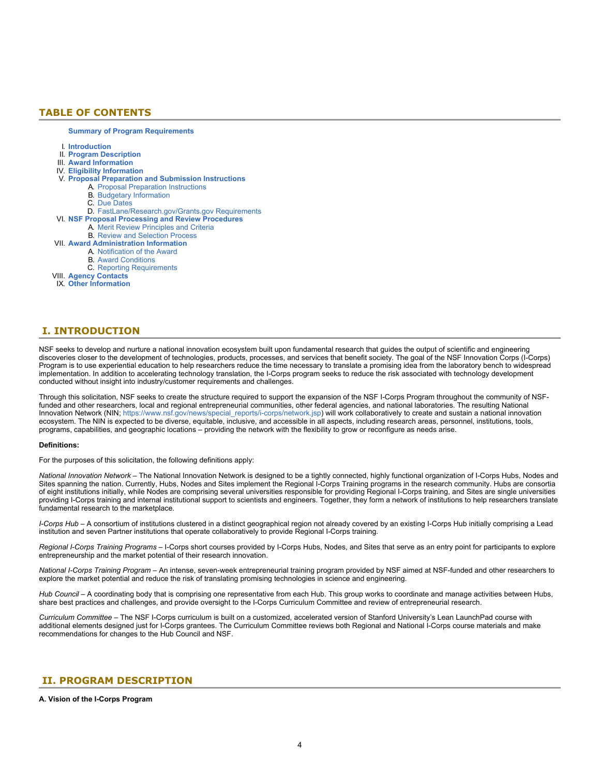# <span id="page-3-0"></span>**TABLE OF CONTENTS**

#### **[Summary of Program Requirements](#page-0-0)**

- I. **[Introduction](#page-3-1)**
- II. **[Program Description](#page-3-2)**
- III. **[Award Information](#page-6-0)**
- IV. **[Eligibility Information](#page-6-1)**
- V. **[Proposal Preparation and Submission Instructions](#page-6-2)**
	- A. [Proposal Preparation Instructions](#page-6-2)
		- B. [Budgetary Information](#page-10-0)
		- C. [Due Dates](#page-10-1)
- D. [FastLane/Research.gov/Grants.gov Requirements](#page-10-2)
- VI. **[NSF Proposal Processing and Review Procedures](#page-10-3)**
	- A. [Merit Review Principles and Criteria](#page-11-0)
	- B. [Review and Selection Process](#page-12-0)
- VII. **[Award Administration Information](#page-12-1)**
	- A. [Notification of the Award](#page-12-2)
	- B. [Award Conditions](#page-12-3)
	- C. [Reporting Requirements](#page-13-0)
- VIII. **[Agency Contacts](#page-14-0)**
- IX. **[Other Information](#page-14-1)**

# <span id="page-3-1"></span>**I. INTRODUCTION**

NSF seeks to develop and nurture a national innovation ecosystem built upon fundamental research that guides the output of scientific and engineering discoveries closer to the development of technologies, products, processes, and services that benefit society. The goal of the NSF Innovation Corps (I-Corps) Program is to use experiential education to help researchers reduce the time necessary to translate a promising idea from the laboratory bench to widespread implementation. In addition to accelerating technology translation, the I-Corps program seeks to reduce the risk associated with technology development conducted without insight into industry/customer requirements and challenges.

Through this solicitation, NSF seeks to create the structure required to support the expansion of the NSF I-Corps Program throughout the community of NSFfunded and other researchers, local and regional entrepreneurial communities, other federal agencies, and national laboratories. The resulting National Innovation Network (NIN; [https://www.nsf.gov/news/special\\_reports/i-corps/network.jsp](https://www.nsf.gov/news/special_reports/i-corps/network.jsp)) will work collaboratively to create and sustain a national innovation ecosystem. The NIN is expected to be diverse, equitable, inclusive, and accessible in all aspects, including research areas, personnel, institutions, tools, programs, capabilities, and geographic locations – providing the network with the flexibility to grow or reconfigure as needs arise.

#### **Definitions:**

For the purposes of this solicitation, the following definitions apply:

*National Innovation Network* – The National Innovation Network is designed to be a tightly connected, highly functional organization of I-Corps Hubs, Nodes and Sites spanning the nation. Currently, Hubs, Nodes and Sites implement the Regional I-Corps Training programs in the research community. Hubs are consortia of eight institutions initially, while Nodes are comprising several universities responsible for providing Regional I-Corps training, and Sites are single universities providing I-Corps training and internal institutional support to scientists and engineers. Together, they form a network of institutions to help researchers translate fundamental research to the marketplace.

*I-Corps Hub* – A consortium of institutions clustered in a distinct geographical region not already covered by an existing I-Corps Hub initially comprising a Lead institution and seven Partner institutions that operate collaboratively to provide Regional I-Corps training.

*Regional I-Corps Training Programs* – I-Corps short courses provided by I-Corps Hubs, Nodes, and Sites that serve as an entry point for participants to explore entrepreneurship and the market potential of their research innovation.

*National I-Corps Training Program* – An intense, seven-week entrepreneurial training program provided by NSF aimed at NSF-funded and other researchers to explore the market potential and reduce the risk of translating promising technologies in science and engineering.

*Hub Council* – A coordinating body that is comprising one representative from each Hub. This group works to coordinate and manage activities between Hubs, share best practices and challenges, and provide oversight to the I-Corps Curriculum Committee and review of entrepreneurial research.

*Curriculum Committee* – The NSF I-Corps curriculum is built on a customized, accelerated version of Stanford University's Lean LaunchPad course with additional elements designed just for I-Corps grantees. The Curriculum Committee reviews both Regional and National I-Corps course materials and make recommendations for changes to the Hub Council and NSF.

# <span id="page-3-2"></span>**II. PROGRAM DESCRIPTION**

## **A. Vision of the I-Corps Program**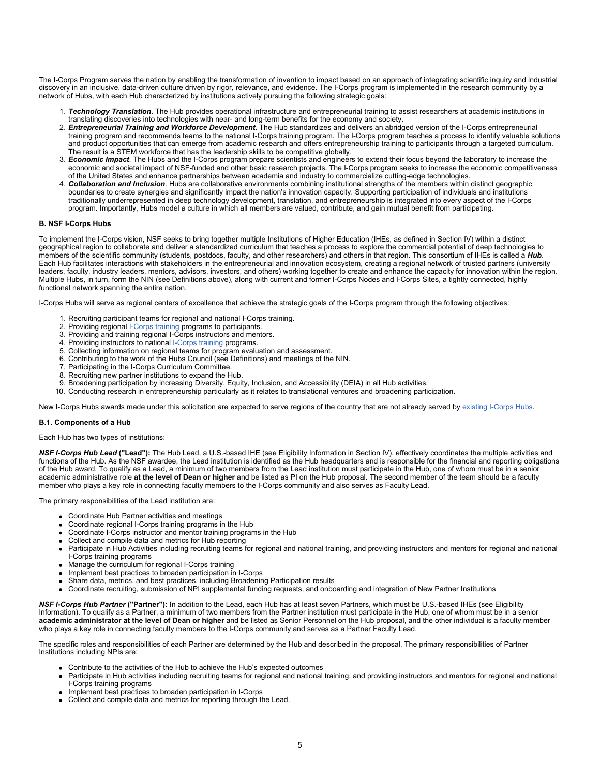The I-Corps Program serves the nation by enabling the transformation of invention to impact based on an approach of integrating scientific inquiry and industrial discovery in an inclusive, data-driven culture driven by rigor, relevance, and evidence. The I-Corps program is implemented in the research community by a network of Hubs, with each Hub characterized by institutions actively pursuing the following strategic goals:

- 1. *Technology Translation*. The Hub provides operational infrastructure and entrepreneurial training to assist researchers at academic institutions in translating discoveries into technologies with near- and long-term benefits for the economy and society.
- 2. *Entrepreneurial Training and Workforce Development*. The Hub standardizes and delivers an abridged version of the I-Corps entrepreneurial training program and recommends teams to the national I-Corps training program. The I-Corps program teaches a process to identify valuable solutions and product opportunities that can emerge from academic research and offers entrepreneurship training to participants through a targeted curriculum. The result is a STEM workforce that has the leadership skills to be competitive globally.
- 3. *Economic Impact*. The Hubs and the I-Corps program prepare scientists and engineers to extend their focus beyond the laboratory to increase the economic and societal impact of NSF-funded and other basic research projects. The I-Corps program seeks to increase the economic competitiveness of the United States and enhance partnerships between academia and industry to commercialize cutting-edge technologies.
- 4. *Collaboration and Inclusion*. Hubs are collaborative environments combining institutional strengths of the members within distinct geographic boundaries to create synergies and significantly impact the nation's innovation capacity. Supporting participation of individuals and institutions traditionally underrepresented in deep technology development, translation, and entrepreneurship is integrated into every aspect of the I-Corps program. Importantly, Hubs model a culture in which all members are valued, contribute, and gain mutual benefit from participating.

## **B. NSF I-Corps Hubs**

To implement the I-Corps vision, NSF seeks to bring together multiple Institutions of Higher Education (IHEs, as defined in Section IV) within a distinct geographical region to collaborate and deliver a standardized curriculum that teaches a process to explore the commercial potential of deep technologies to members of the scientific community (students, postdocs, faculty, and other researchers) and others in that region. This consortium of IHEs is called a *Hub*. Each Hub facilitates interactions with stakeholders in the entrepreneurial and innovation ecosystem, creating a regional network of trusted partners (university leaders, faculty, industry leaders, mentors, advisors, investors, and others) working together to create and enhance the capacity for innovation within the region. Multiple Hubs, in turn, form the NIN (see Definitions above), along with current and former I-Corps Nodes and I-Corps Sites, a tightly connected, highly functional network spanning the entire nation.

I-Corps Hubs will serve as regional centers of excellence that achieve the strategic goals of the I-Corps program through the following objectives:

- 1. Recruiting participant teams for regional and national I-Corps training.
- 2. Providing regional [I-Corps training](https://www.nsf.gov/news/special_reports/i-corps/index.jsp) programs to participants.
- 3. Providing and training regional I-Corps instructors and mentors.
- 4. Providing instructors to national [I-Corps training](https://www.nsf.gov/news/special_reports/i-corps/index.jsp) programs.
- 5. Collecting information on regional teams for program evaluation and assessment.
- 6. Contributing to the work of the Hubs Council (see Definitions) and meetings of the NIN.
- Participating in the I-Corps Curriculum Committee.
- 8. Recruiting new partner institutions to expand the Hub.
- 9. Broadening participation by increasing Diversity, Equity, Inclusion, and Accessibility (DEIA) in all Hub activities.
- 10. Conducting research in entrepreneurship particularly as it relates to translational ventures and broadening participation.

New I-Corps Hubs awards made under this solicitation are expected to serve regions of the country that are not already served by [existing I-Corps Hubs](https://www.nsf.gov/news/special_reports/announcements/082521.jsp).

## **B.1. Components of a Hub**

## Each Hub has two types of institutions:

*NSF I-Corps Hub Lead* **("Lead"):** The Hub Lead, a U.S.-based IHE (see Eligibility Information in Section IV), effectively coordinates the multiple activities and functions of the Hub. As the NSF awardee, the Lead institution is identified as the Hub headquarters and is responsible for the financial and reporting obligations of the Hub award. To qualify as a Lead, a minimum of two members from the Lead institution must participate in the Hub, one of whom must be in a senior academic administrative role **at the level of Dean or higher** and be listed as PI on the Hub proposal. The second member of the team should be a faculty member who plays a key role in connecting faculty members to the I-Corps community and also serves as Faculty Lead.

The primary responsibilities of the Lead institution are:

- Coordinate Hub Partner activities and meetings
- Coordinate regional I-Corps training programs in the Hub
- Coordinate I-Corps instructor and mentor training programs in the Hub
- Collect and compile data and metrics for Hub reporting
- Participate in Hub Activities including recruiting teams for regional and national training, and providing instructors and mentors for regional and national I-Corps training programs
- Manage the curriculum for regional I-Corps training  $\bullet$
- Implement best practices to broaden participation in I-Corps
- Share data, metrics, and best practices, including Broadening Participation results
- Coordinate recruiting, submission of NPI supplemental funding requests, and onboarding and integration of New Partner Institutions

*NSF I-Corps Hub Partner* **("Partner"):** In addition to the Lead, each Hub has at least seven Partners, which must be U.S.-based IHEs (see Eligibility Information). To qualify as a Partner, a minimum of two members from the Partner institution must participate in the Hub, one of whom must be in a senior **academic administrator at the level of Dean or higher** and be listed as Senior Personnel on the Hub proposal, and the other individual is a faculty member who plays a key role in connecting faculty members to the I-Corps community and serves as a Partner Faculty Lead.

The specific roles and responsibilities of each Partner are determined by the Hub and described in the proposal. The primary responsibilities of Partner Institutions including NPIs are:

- Contribute to the activities of the Hub to achieve the Hub's expected outcomes
- Participate in Hub activities including recruiting teams for regional and national training, and providing instructors and mentors for regional and national I-Corps training programs
	- Implement best practices to broaden participation in I-Corps
	- Collect and compile data and metrics for reporting through the Lead.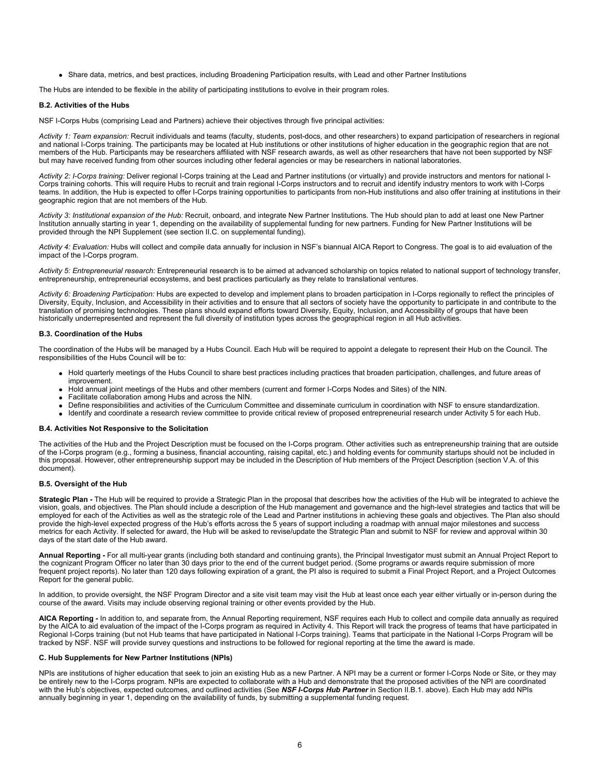Share data, metrics, and best practices, including Broadening Participation results, with Lead and other Partner Institutions

The Hubs are intended to be flexible in the ability of participating institutions to evolve in their program roles.

#### **B.2. Activities of the Hubs**

NSF I-Corps Hubs (comprising Lead and Partners) achieve their objectives through five principal activities:

*Activity 1: Team expansion:* Recruit individuals and teams (faculty, students, post-docs, and other researchers) to expand participation of researchers in regional and national I-Corps training. The participants may be located at Hub institutions or other institutions of higher education in the geographic region that are not members of the Hub. Participants may be researchers affiliated with NSF research awards, as well as other researchers that have not been supported by NSF but may have received funding from other sources including other federal agencies or may be researchers in national laboratories.

*Activity 2: I-Corps training:* Deliver regional I-Corps training at the Lead and Partner institutions (or virtually) and provide instructors and mentors for national I-Corps training cohorts. This will require Hubs to recruit and train regional I-Corps instructors and to recruit and identify industry mentors to work with I-Corps teams. In addition, the Hub is expected to offer I-Corps training opportunities to participants from non-Hub institutions and also offer training at institutions in their geographic region that are not members of the Hub.

Activity 3: Institutional expansion of the Hub: Recruit, onboard, and integrate New Partner Institutions. The Hub should plan to add at least one New Partner Institution annually starting in year 1, depending on the availability of supplemental funding for new partners. Funding for New Partner Institutions will be provided through the NPI Supplement (see section II.C. on supplemental funding).

Activity 4: Evaluation: Hubs will collect and compile data annually for inclusion in NSF's biannual AICA Report to Congress. The goal is to aid evaluation of the impact of the I-Corps program.

*Activity 5: Entrepreneurial research:* Entrepreneurial research is to be aimed at advanced scholarship on topics related to national support of technology transfer, entrepreneurship, entrepreneurial ecosystems, and best practices particularly as they relate to translational ventures.

Activity 6: Broadening Participation: Hubs are expected to develop and implement plans to broaden participation in I-Corps regionally to reflect the principles of Diversity, Equity, Inclusion, and Accessibility in their activities and to ensure that all sectors of society have the opportunity to participate in and contribute to the translation of promising technologies. These plans should expand efforts toward Diversity, Equity, Inclusion, and Accessibility of groups that have been historically underrepresented and represent the full diversity of institution types across the geographical region in all Hub activities.

## **B.3. Coordination of the Hubs**

The coordination of the Hubs will be managed by a Hubs Council. Each Hub will be required to appoint a delegate to represent their Hub on the Council. The responsibilities of the Hubs Council will be to:

- Hold quarterly meetings of the Hubs Council to share best practices including practices that broaden participation, challenges, and future areas of improvement.
- Hold annual joint meetings of the Hubs and other members (current and former I-Corps Nodes and Sites) of the NIN.
- Facilitate collaboration among Hubs and across the NIN.
- Define responsibilities and activities of the Curriculum Committee and disseminate curriculum in coordination with NSF to ensure standardization.
- Identify and coordinate a research review committee to provide critical review of proposed entrepreneurial research under Activity 5 for each Hub.

#### **B.4. Activities Not Responsive to the Solicitation**

The activities of the Hub and the Project Description must be focused on the I-Corps program. Other activities such as entrepreneurship training that are outside of the I-Corps program (e.g., forming a business, financial accounting, raising capital, etc.) and holding events for community startups should not be included in this proposal. However, other entrepreneurship support may be included in the Description of Hub members of the Project Description (section V.A. of this document).

# **B.5. Oversight of the Hub**

**Strategic Plan -** The Hub will be required to provide a Strategic Plan in the proposal that describes how the activities of the Hub will be integrated to achieve the vision, goals, and objectives. The Plan should include a description of the Hub management and governance and the high-level strategies and tactics that will be employed for each of the Activities as well as the strategic role of the Lead and Partner institutions in achieving these goals and objectives. The Plan also should provide the high-level expected progress of the Hub's efforts across the 5 years of support including a roadmap with annual major milestones and success metrics for each Activity. If selected for award, the Hub will be asked to revise/update the Strategic Plan and submit to NSF for review and approval within 30 days of the start date of the Hub award.

**Annual Reporting -** For all multi-year grants (including both standard and continuing grants), the Principal Investigator must submit an Annual Project Report to the cognizant Program Officer no later than 30 days prior to the end of the current budget period. (Some programs or awards require submission of more frequent project reports). No later than 120 days following expiration of a grant, the PI also is required to submit a Final Project Report, and a Project Outcomes Report for the general public.

In addition, to provide oversight, the NSF Program Director and a site visit team may visit the Hub at least once each year either virtually or in-person during the course of the award. Visits may include observing regional training or other events provided by the Hub.

**AICA Reporting -** In addition to, and separate from, the Annual Reporting requirement, NSF requires each Hub to collect and compile data annually as required by the AICA to aid evaluation of the impact of the I-Corps program as required in Activity 4. This Report will track the progress of teams that have participated in Regional I-Corps training (but not Hub teams that have participated in National I-Corps training). Teams that participate in the National I-Corps Program will be tracked by NSF. NSF will provide survey questions and instructions to be followed for regional reporting at the time the award is made.

#### **C. Hub Supplements for New Partner Institutions (NPIs)**

NPIs are institutions of higher education that seek to join an existing Hub as a new Partner. A NPI may be a current or former I-Corps Node or Site, or they may be entirely new to the I-Corps program. NPIs are expected to collaborate with a Hub and demonstrate that the proposed activities of the NPI are coordinated with the Hub's objectives, expected outcomes, and outlined activities (See *NSF I-Corps Hub Partner* in Section II.B.1. above). Each Hub may add NPIs annually beginning in year 1, depending on the availability of funds, by submitting a supplemental funding request.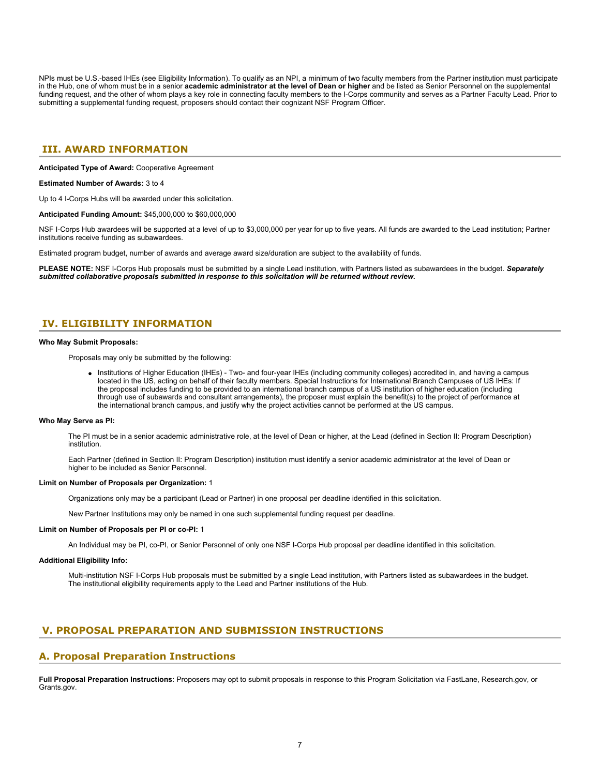NPIs must be U.S.-based IHEs (see Eligibility Information). To qualify as an NPI, a minimum of two faculty members from the Partner institution must participate in the Hub, one of whom must be in a senior **academic administrator at the level of Dean or higher** and be listed as Senior Personnel on the supplemental funding request, and the other of whom plays a key role in connecting faculty members to the I-Corps community and serves as a Partner Faculty Lead. Prior to submitting a supplemental funding request, proposers should contact their cognizant NSF Program Officer.

# <span id="page-6-0"></span>**III. AWARD INFORMATION**

**Anticipated Type of Award:** Cooperative Agreement

**Estimated Number of Awards:** 3 to 4

Up to 4 I-Corps Hubs will be awarded under this solicitation.

**Anticipated Funding Amount:** \$45,000,000 to \$60,000,000

NSF I-Corps Hub awardees will be supported at a level of up to \$3,000,000 per year for up to five years. All funds are awarded to the Lead institution; Partner institutions receive funding as subawardees.

Estimated program budget, number of awards and average award size/duration are subject to the availability of funds.

**PLEASE NOTE:** NSF I-Corps Hub proposals must be submitted by a single Lead institution, with Partners listed as subawardees in the budget. *Separately submitted collaborative proposals submitted in response to this solicitation will be returned without review.*

# <span id="page-6-1"></span>**IV. ELIGIBILITY INFORMATION**

#### **Who May Submit Proposals:**

Proposals may only be submitted by the following:

• Institutions of Higher Education (IHEs) - Two- and four-year IHEs (including community colleges) accredited in, and having a campus located in the US, acting on behalf of their faculty members. Special Instructions for International Branch Campuses of US IHEs: If the proposal includes funding to be provided to an international branch campus of a US institution of higher education (including through use of subawards and consultant arrangements), the proposer must explain the benefit(s) to the project of performance at the international branch campus, and justify why the project activities cannot be performed at the US campus.

#### **Who May Serve as PI:**

The PI must be in a senior academic administrative role, at the level of Dean or higher, at the Lead (defined in Section II: Program Description) institution.

Each Partner (defined in Section II: Program Description) institution must identify a senior academic administrator at the level of Dean or higher to be included as Senior Personnel.

## **Limit on Number of Proposals per Organization:** 1

Organizations only may be a participant (Lead or Partner) in one proposal per deadline identified in this solicitation.

New Partner Institutions may only be named in one such supplemental funding request per deadline.

#### **Limit on Number of Proposals per PI or co-PI:** 1

An Individual may be PI, co-PI, or Senior Personnel of only one NSF I-Corps Hub proposal per deadline identified in this solicitation.

#### **Additional Eligibility Info:**

Multi-institution NSF I-Corps Hub proposals must be submitted by a single Lead institution, with Partners listed as subawardees in the budget. The institutional eligibility requirements apply to the Lead and Partner institutions of the Hub.

# <span id="page-6-2"></span>**V. PROPOSAL PREPARATION AND SUBMISSION INSTRUCTIONS**

# **A. Proposal Preparation Instructions**

**Full Proposal Preparation Instructions**: Proposers may opt to submit proposals in response to this Program Solicitation via FastLane, Research.gov, or Grants.gov.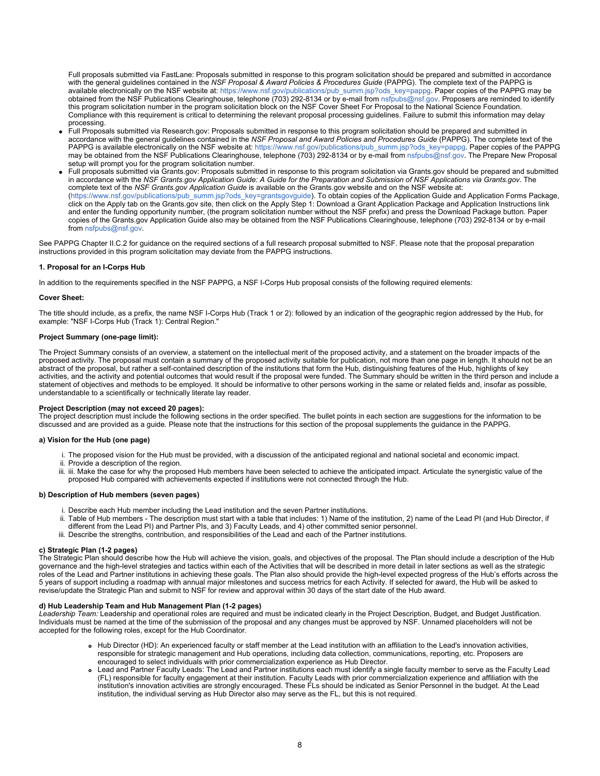Full proposals submitted via FastLane: Proposals submitted in response to this program solicitation should be prepared and submitted in accordance with the general guidelines contained in the *NSF Proposal & Award Policies & Procedures Guide* (PAPPG). The complete text of the PAPPG is available electronically on the NSF website at: [https://www.nsf.gov/publications/pub\\_summ.jsp?ods\\_key=pappg](https://www.nsf.gov/publications/pub_summ.jsp?ods_key=pappg). Paper copies of the PAPPG may be obtained from the NSF Publications Clearinghouse, telephone (703) 292-8134 or by e-mail from [nsfpubs@nsf.gov](mailto:nsfpubs@nsf.gov). Proposers are reminded to identify this program solicitation number in the program solicitation block on the NSF Cover Sheet For Proposal to the National Science Foundation. Compliance with this requirement is critical to determining the relevant proposal processing guidelines. Failure to submit this information may delay processing.

- Full Proposals submitted via Research.gov: Proposals submitted in response to this program solicitation should be prepared and submitted in accordance with the general guidelines contained in the *NSF Proposal and Award Policies and Procedures Guide* (PAPPG). The complete text of the PAPPG is available electronically on the NSF website at: [https://www.nsf.gov/publications/pub\\_summ.jsp?ods\\_key=pappg](https://www.nsf.gov/publications/pub_summ.jsp?ods_key=pappg). Paper copies of the PAPPG may be obtained from the NSF Publications Clearinghouse, telephone (703) 292-8134 or by e-mail from [nsfpubs@nsf.gov.](mailto:nsfpubs@nsf.gov) The Prepare New Proposal setup will prompt you for the program solicitation number.
- Full proposals submitted via Grants.gov: Proposals submitted in response to this program solicitation via Grants.gov should be prepared and submitted in accordance with the *NSF Grants.gov Application Guide: A Guide for the Preparation and Submission of NSF Applications via Grants.gov*. The complete text of the *NSF Grants.gov Application Guide* is available on the Grants.gov website and on the NSF website at: [\(https://www.nsf.gov/publications/pub\\_summ.jsp?ods\\_key=grantsgovguide](https://www.nsf.gov/publications/pub_summ.jsp?ods_key=grantsgovguide)). To obtain copies of the Application Guide and Application Forms Package, click on the Apply tab on the Grants.gov site, then click on the Apply Step 1: Download a Grant Application Package and Application Instructions link and enter the funding opportunity number, (the program solicitation number without the NSF prefix) and press the Download Package button. Paper copies of the Grants.gov Application Guide also may be obtained from the NSF Publications Clearinghouse, telephone (703) 292-8134 or by e-mail from [nsfpubs@nsf.gov](mailto:nsfpubs@nsf.gov).

See PAPPG Chapter II.C.2 for guidance on the required sections of a full research proposal submitted to NSF. Please note that the proposal preparation instructions provided in this program solicitation may deviate from the PAPPG instructions.

## **1. Proposal for an I-Corps Hub**

In addition to the requirements specified in the NSF PAPPG, a NSF I-Corps Hub proposal consists of the following required elements:

## **Cover Sheet:**

The title should include, as a prefix, the name NSF I-Corps Hub (Track 1 or 2): followed by an indication of the geographic region addressed by the Hub, for example: "NSF I-Corps Hub (Track 1): Central Region."

## **Project Summary (one-page limit):**

The Project Summary consists of an overview, a statement on the intellectual merit of the proposed activity, and a statement on the broader impacts of the proposed activity. The proposal must contain a summary of the proposed activity suitable for publication, not more than one page in length. It should not be an abstract of the proposal, but rather a self-contained description of the institutions that form the Hub, distinguishing features of the Hub, highlights of key activities, and the activity and potential outcomes that would result if the proposal were funded. The Summary should be written in the third person and include a statement of objectives and methods to be employed. It should be informative to other persons working in the same or related fields and, insofar as possible, understandable to a scientifically or technically literate lay reader.

### **Project Description (may not exceed 20 pages):**

The project description must include the following sections in the order specified. The bullet points in each section are suggestions for the information to be discussed and are provided as a guide. Please note that the instructions for this section of the proposal supplements the guidance in the PAPPG.

# **a) Vision for the Hub (one page)**

- i. The proposed vision for the Hub must be provided, with a discussion of the anticipated regional and national societal and economic impact.
- ii. Provide a description of the region.
- iii. iii. Make the case for why the proposed Hub members have been selected to achieve the anticipated impact. Articulate the synergistic value of the proposed Hub compared with achievements expected if institutions were not connected through the Hub.

## **b) Description of Hub members (seven pages)**

- i. Describe each Hub member including the Lead institution and the seven Partner institutions.
- ii. Table of Hub members The description must start with a table that includes: 1) Name of the institution, 2) name of the Lead PI (and Hub Director, if different from the Lead PI) and Partner PIs, and 3) Faculty Leads, and 4) other committed senior personnel.
- iii. Describe the strengths, contribution, and responsibilities of the Lead and each of the Partner institutions.

#### **c) Strategic Plan (1-2 pages)**

The Strategic Plan should describe how the Hub will achieve the vision, goals, and objectives of the proposal. The Plan should include a description of the Hub governance and the high-level strategies and tactics within each of the Activities that will be described in more detail in later sections as well as the strategic roles of the Lead and Partner institutions in achieving these goals. The Plan also should provide the high-level expected progress of the Hub's efforts across the 5 years of support including a roadmap with annual major milestones and success metrics for each Activity. If selected for award, the Hub will be asked to revise/update the Strategic Plan and submit to NSF for review and approval within 30 days of the start date of the Hub award.

## **d) Hub Leadership Team and Hub Management Plan (1-2 pages)**

*Leadership Team:* Leadership and operational roles are required and must be indicated clearly in the Project Description, Budget, and Budget Justification. Individuals must be named at the time of the submission of the proposal and any changes must be approved by NSF. Unnamed placeholders will not be accepted for the following roles, except for the Hub Coordinator.

- Hub Director (HD): An experienced faculty or staff member at the Lead institution with an affiliation to the Lead's innovation activities, responsible for strategic management and Hub operations, including data collection, communications, reporting, etc. Proposers are encouraged to select individuals with prior commercialization experience as Hub Director.
- Lead and Partner Faculty Leads: The Lead and Partner institutions each must identify a single faculty member to serve as the Faculty Lead (FL) responsible for faculty engagement at their institution. Faculty Leads with prior commercialization experience and affiliation with the institution's innovation activities are strongly encouraged. These FLs should be indicated as Senior Personnel in the budget. At the Lead institution, the individual serving as Hub Director also may serve as the FL, but this is not required.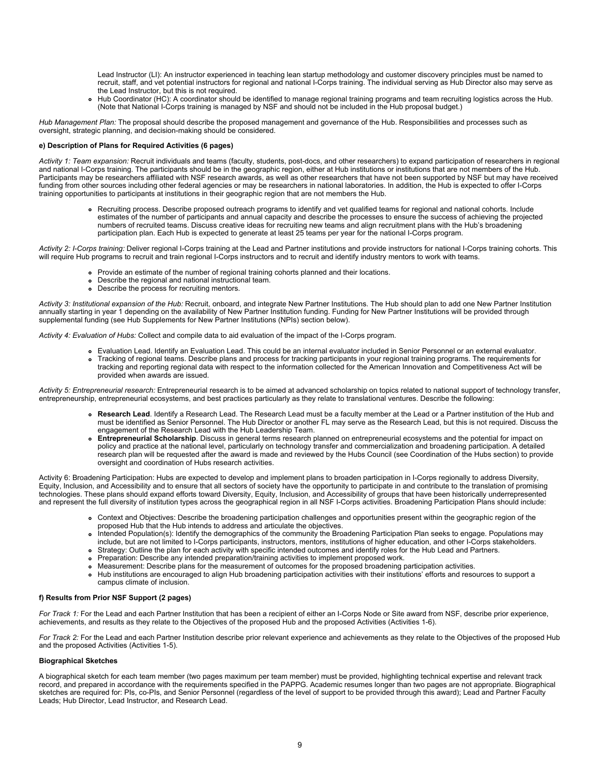Lead Instructor (LI): An instructor experienced in teaching lean startup methodology and customer discovery principles must be named to recruit, staff, and vet potential instructors for regional and national I-Corps training. The individual serving as Hub Director also may serve as the Lead Instructor, but this is not required.

Hub Coordinator (HC): A coordinator should be identified to manage regional training programs and team recruiting logistics across the Hub.  $\bullet$ (Note that National I-Corps training is managed by NSF and should not be included in the Hub proposal budget.)

*Hub Management Plan:* The proposal should describe the proposed management and governance of the Hub. Responsibilities and processes such as oversight, strategic planning, and decision-making should be considered.

## **e) Description of Plans for Required Activities (6 pages)**

*Activity 1: Team expansion:* Recruit individuals and teams (faculty, students, post-docs, and other researchers) to expand participation of researchers in regional and national I-Corps training. The participants should be in the geographic region, either at Hub institutions or institutions that are not members of the Hub. Participants may be researchers affiliated with NSF research awards, as well as other researchers that have not been supported by NSF but may have received funding from other sources including other federal agencies or may be researchers in national laboratories. In addition, the Hub is expected to offer I-Corps training opportunities to participants at institutions in their geographic region that are not members the Hub.

Recruiting process. Describe proposed outreach programs to identify and vet qualified teams for regional and national cohorts. Include estimates of the number of participants and annual capacity and describe the processes to ensure the success of achieving the projected numbers of recruited teams. Discuss creative ideas for recruiting new teams and align recruitment plans with the Hub's broadening participation plan. Each Hub is expected to generate at least 25 teams per year for the national I-Corps program.

*Activity 2: I-Corps training:* Deliver regional I-Corps training at the Lead and Partner institutions and provide instructors for national I-Corps training cohorts. This will require Hub programs to recruit and train regional I-Corps instructors and to recruit and identify industry mentors to work with teams.

- Provide an estimate of the number of regional training cohorts planned and their locations.
- Describe the regional and national instructional team.
- Describe the process for recruiting mentors.

Activity 3: Institutional expansion of the Hub: Recruit, onboard, and integrate New Partner Institutions. The Hub should plan to add one New Partner Institution annually starting in year 1 depending on the availability of New Partner Institution funding. Funding for New Partner Institutions will be provided through supplemental funding (see Hub Supplements for New Partner Institutions (NPIs) section below).

*Activity 4: Evaluation of Hubs:* Collect and compile data to aid evaluation of the impact of the I-Corps program.

Evaluation Lead. Identify an Evaluation Lead. This could be an internal evaluator included in Senior Personnel or an external evaluator. Tracking of regional teams. Describe plans and process for tracking participants in your regional training programs. The requirements for tracking and reporting regional data with respect to the information collected for the American Innovation and Competitiveness Act will be provided when awards are issued.

*Activity 5: Entrepreneurial research:* Entrepreneurial research is to be aimed at advanced scholarship on topics related to national support of technology transfer, entrepreneurship, entrepreneurial ecosystems, and best practices particularly as they relate to translational ventures. Describe the following:

- **Research Lead**. Identify a Research Lead. The Research Lead must be a faculty member at the Lead or a Partner institution of the Hub and must be identified as Senior Personnel. The Hub Director or another FL may serve as the Research Lead, but this is not required. Discuss the engagement of the Research Lead with the Hub Leadership Team.
- **Entrepreneurial Scholarship**. Discuss in general terms research planned on entrepreneurial ecosystems and the potential for impact on policy and practice at the national level, particularly on technology transfer and commercialization and broadening participation. A detailed research plan will be requested after the award is made and reviewed by the Hubs Council (see Coordination of the Hubs section) to provide oversight and coordination of Hubs research activities.

Activity 6: Broadening Participation: Hubs are expected to develop and implement plans to broaden participation in I-Corps regionally to address Diversity, Equity, Inclusion, and Accessibility and to ensure that all sectors of society have the opportunity to participate in and contribute to the translation of promising technologies. These plans should expand efforts toward Diversity, Equity, Inclusion, and Accessibility of groups that have been historically underrepresented and represent the full diversity of institution types across the geographical region in all NSF I-Corps activities. Broadening Participation Plans should include:

- Context and Objectives: Describe the broadening participation challenges and opportunities present within the geographic region of the proposed Hub that the Hub intends to address and articulate the objectives.
- Intended Population(s): Identify the demographics of the community the Broadening Participation Plan seeks to engage. Populations may include, but are not limited to I-Corps participants, instructors, mentors, institutions of higher education, and other I-Corps stakeholders.
- Strategy: Outline the plan for each activity with specific intended outcomes and identify roles for the Hub Lead and Partners.
- Preparation: Describe any intended preparation/training activities to implement proposed work.
- Measurement: Describe plans for the measurement of outcomes for the proposed broadening participation activities.
- Hub institutions are encouraged to align Hub broadening participation activities with their institutions' efforts and resources to support a  $\bullet$ campus climate of inclusion.

## **f) Results from Prior NSF Support (2 pages)**

*For Track 1:* For the Lead and each Partner Institution that has been a recipient of either an I-Corps Node or Site award from NSF, describe prior experience, achievements, and results as they relate to the Objectives of the proposed Hub and the proposed Activities (Activities 1-6).

*For Track 2:* For the Lead and each Partner Institution describe prior relevant experience and achievements as they relate to the Objectives of the proposed Hub and the proposed Activities (Activities 1-5).

## **Biographical Sketches**

A biographical sketch for each team member (two pages maximum per team member) must be provided, highlighting technical expertise and relevant track record, and prepared in accordance with the requirements specified in the PAPPG. Academic resumes longer than two pages are not appropriate. Biographical sketches are required for: PIs, co-PIs, and Senior Personnel (regardless of the level of support to be provided through this award); Lead and Partner Faculty Leads; Hub Director, Lead Instructor, and Research Lead.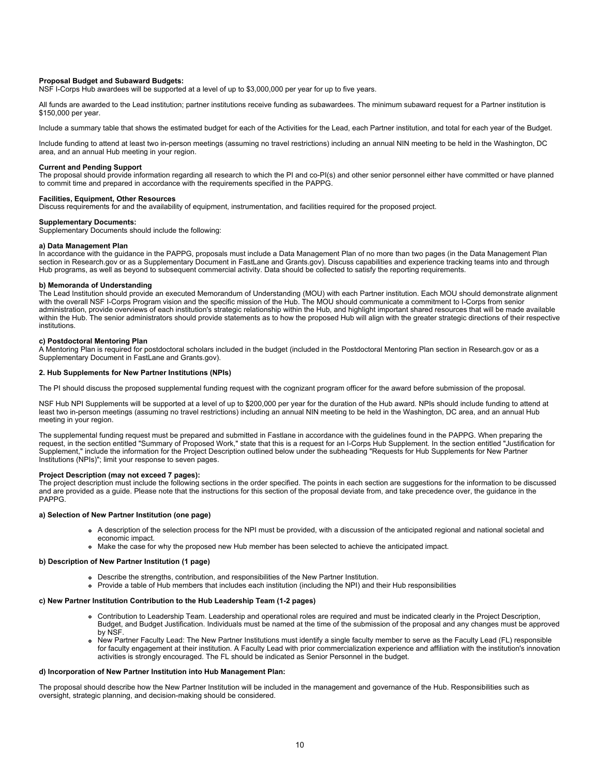## **Proposal Budget and Subaward Budgets:**

NSF I-Corps Hub awardees will be supported at a level of up to \$3,000,000 per year for up to five years.

All funds are awarded to the Lead institution; partner institutions receive funding as subawardees. The minimum subaward request for a Partner institution is \$150,000 per year.

Include a summary table that shows the estimated budget for each of the Activities for the Lead, each Partner institution, and total for each year of the Budget.

Include funding to attend at least two in-person meetings (assuming no travel restrictions) including an annual NIN meeting to be held in the Washington, DC area, and an annual Hub meeting in your region.

#### **Current and Pending Support**

The proposal should provide information regarding all research to which the PI and co-PI(s) and other senior personnel either have committed or have planned to commit time and prepared in accordance with the requirements specified in the PAPPG.

# **Facilities, Equipment, Other Resources**

Discuss requirements for and the availability of equipment, instrumentation, and facilities required for the proposed project.

#### **Supplementary Documents:**

Supplementary Documents should include the following:

#### **a) Data Management Plan**

In accordance with the guidance in the PAPPG, proposals must include a Data Management Plan of no more than two pages (in the Data Management Plan section in Research.gov or as a Supplementary Document in FastLane and Grants.gov). Discuss capabilities and experience tracking teams into and through Hub programs, as well as beyond to subsequent commercial activity. Data should be collected to satisfy the reporting requirements.

### **b) Memoranda of Understanding**

The Lead Institution should provide an executed Memorandum of Understanding (MOU) with each Partner institution. Each MOU should demonstrate alignment with the overall NSF I-Corps Program vision and the specific mission of the Hub. The MOU should communicate a commitment to I-Corps from senior administration, provide overviews of each institution's strategic relationship within the Hub, and highlight important shared resources that will be made available within the Hub. The senior administrators should provide statements as to how the proposed Hub will align with the greater strategic directions of their respective institutions.

#### **c) Postdoctoral Mentoring Plan**

A Mentoring Plan is required for postdoctoral scholars included in the budget (included in the Postdoctoral Mentoring Plan section in Research.gov or as a Supplementary Document in FastLane and Grants.gov).

#### **2. Hub Supplements for New Partner Institutions (NPIs)**

The PI should discuss the proposed supplemental funding request with the cognizant program officer for the award before submission of the proposal.

NSF Hub NPI Supplements will be supported at a level of up to \$200,000 per year for the duration of the Hub award. NPIs should include funding to attend at least two in-person meetings (assuming no travel restrictions) including an annual NIN meeting to be held in the Washington, DC area, and an annual Hub meeting in your region.

The supplemental funding request must be prepared and submitted in Fastlane in accordance with the guidelines found in the PAPPG. When preparing the request, in the section entitled "Summary of Proposed Work," state that this is a request for an I-Corps Hub Supplement. In the section entitled "Justification for Supplement," include the information for the Project Description outlined below under the subheading "Requests for Hub Supplements for New Partner Institutions (NPIs)"; limit your response to seven pages.

#### **Project Description (may not exceed 7 pages):**

The project description must include the following sections in the order specified. The points in each section are suggestions for the information to be discussed and are provided as a guide. Please note that the instructions for this section of the proposal deviate from, and take precedence over, the guidance in the PAPPG.

#### **a) Selection of New Partner Institution (one page)**

- A description of the selection process for the NPI must be provided, with a discussion of the anticipated regional and national societal and economic impact.
- Make the case for why the proposed new Hub member has been selected to achieve the anticipated impact.

## **b) Description of New Partner Institution (1 page)**

- Describe the strengths, contribution, and responsibilities of the New Partner Institution.
- Provide a table of Hub members that includes each institution (including the NPI) and their Hub responsibilities

#### **c) New Partner Institution Contribution to the Hub Leadership Team (1-2 pages)**

- Contribution to Leadership Team. Leadership and operational roles are required and must be indicated clearly in the Project Description, Budget, and Budget Justification. Individuals must be named at the time of the submission of the proposal and any changes must be approved by NSF.
- New Partner Faculty Lead: The New Partner Institutions must identify a single faculty member to serve as the Faculty Lead (FL) responsible for faculty engagement at their institution. A Faculty Lead with prior commercialization experience and affiliation with the institution's innovation activities is strongly encouraged. The FL should be indicated as Senior Personnel in the budget.

## **d) Incorporation of New Partner Institution into Hub Management Plan:**

The proposal should describe how the New Partner Institution will be included in the management and governance of the Hub. Responsibilities such as oversight, strategic planning, and decision-making should be considered.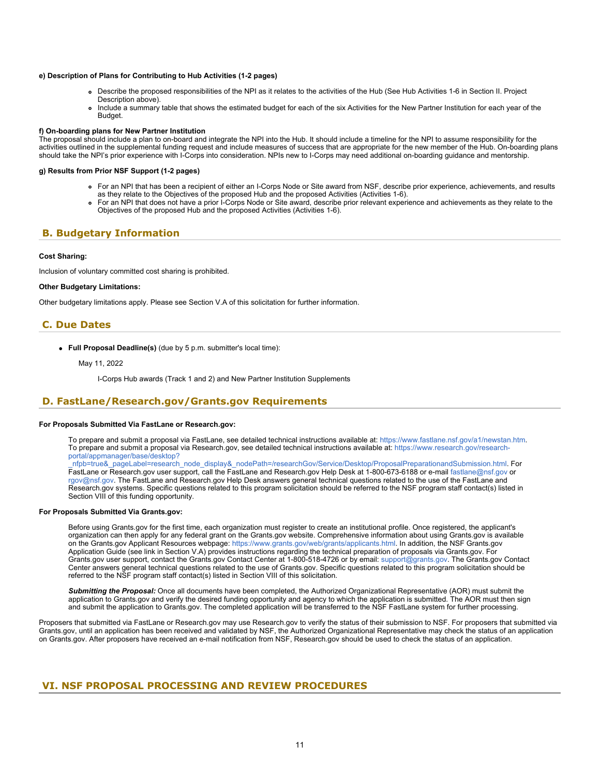### **e) Description of Plans for Contributing to Hub Activities (1-2 pages)**

- Describe the proposed responsibilities of the NPI as it relates to the activities of the Hub (See Hub Activities 1-6 in Section II. Project Description above).
- Include a summary table that shows the estimated budget for each of the six Activities for the New Partner Institution for each year of the Budget.

#### **f) On-boarding plans for New Partner Institution**

The proposal should include a plan to on-board and integrate the NPI into the Hub. It should include a timeline for the NPI to assume responsibility for the activities outlined in the supplemental funding request and include measures of success that are appropriate for the new member of the Hub. On-boarding plans should take the NPI's prior experience with I-Corps into consideration. NPIs new to I-Corps may need additional on-boarding guidance and mentorship.

## **g) Results from Prior NSF Support (1-2 pages)**

- For an NPI that has been a recipient of either an I-Corps Node or Site award from NSF, describe prior experience, achievements, and results as they relate to the Objectives of the proposed Hub and the proposed Activities (Activities 1-6).
- For an NPI that does not have a prior I-Corps Node or Site award, describe prior relevant experience and achievements as they relate to the Objectives of the proposed Hub and the proposed Activities (Activities 1-6).

# <span id="page-10-0"></span>**B. Budgetary Information**

# **Cost Sharing:**

Inclusion of voluntary committed cost sharing is prohibited.

# **Other Budgetary Limitations:**

Other budgetary limitations apply. Please see Section V.A of this solicitation for further information.

# <span id="page-10-1"></span>**C. Due Dates**

**Full Proposal Deadline(s)** (due by 5 p.m. submitter's local time):

### May 11, 2022

I-Corps Hub awards (Track 1 and 2) and New Partner Institution Supplements

# <span id="page-10-2"></span>**D. FastLane/Research.gov/Grants.gov Requirements**

#### **For Proposals Submitted Via FastLane or Research.gov:**

To prepare and submit a proposal via FastLane, see detailed technical instructions available at: <https://www.fastlane.nsf.gov/a1/newstan.htm>. To prepare and submit a proposal via Research.gov, see detailed technical instructions available at: [https://www.research.gov/research](https://www.research.gov/research-portal/appmanager/base/desktop?_nfpb=true&_pageLabel=research_node_display&_nodePath=/researchGov/Service/Desktop/ProposalPreparationandSubmission.html)[portal/appmanager/base/desktop?](https://www.research.gov/research-portal/appmanager/base/desktop?_nfpb=true&_pageLabel=research_node_display&_nodePath=/researchGov/Service/Desktop/ProposalPreparationandSubmission.html)

[\\_nfpb=true&\\_pageLabel=research\\_node\\_display&\\_nodePath=/researchGov/Service/Desktop/ProposalPreparationandSubmission.html](https://www.research.gov/research-portal/appmanager/base/desktop?_nfpb=true&_pageLabel=research_node_display&_nodePath=/researchGov/Service/Desktop/ProposalPreparationandSubmission.html). For FastLane or Research.gov user support, call the FastLane and Research.gov Help Desk at 1-800-673-6188 or e-mail [fastlane@nsf.gov](mailto:fastlane@nsf.gov) or [rgov@nsf.gov](mailto:rgov@nsf.gov). The FastLane and Research.gov Help Desk answers general technical questions related to the use of the FastLane and Research.gov systems. Specific questions related to this program solicitation should be referred to the NSF program staff contact(s) listed in Section VIII of this funding opportunity.

## **For Proposals Submitted Via Grants.gov:**

Before using Grants.gov for the first time, each organization must register to create an institutional profile. Once registered, the applicant's organization can then apply for any federal grant on the Grants.gov website. Comprehensive information about using Grants.gov is available on the Grants.gov Applicant Resources webpage:<https://www.grants.gov/web/grants/applicants.html>. In addition, the NSF Grants.gov Application Guide (see link in Section V.A) provides instructions regarding the technical preparation of proposals via Grants.gov. For Grants.gov user support, contact the Grants.gov Contact Center at 1-800-518-4726 or by email: [support@grants.gov.](mailto:support@grants.gov) The Grants.gov Contact Center answers general technical questions related to the use of Grants.gov. Specific questions related to this program solicitation should be referred to the NSF program staff contact(s) listed in Section VIII of this solicitation.

*Submitting the Proposal:* Once all documents have been completed, the Authorized Organizational Representative (AOR) must submit the application to Grants.gov and verify the desired funding opportunity and agency to which the application is submitted. The AOR must then sign and submit the application to Grants.gov. The completed application will be transferred to the NSF FastLane system for further processing.

Proposers that submitted via FastLane or Research.gov may use Research.gov to verify the status of their submission to NSF. For proposers that submitted via Grants.gov, until an application has been received and validated by NSF, the Authorized Organizational Representative may check the status of an application on Grants.gov. After proposers have received an e-mail notification from NSF, Research.gov should be used to check the status of an application.

# <span id="page-10-3"></span> **VI. NSF PROPOSAL PROCESSING AND REVIEW PROCEDURES**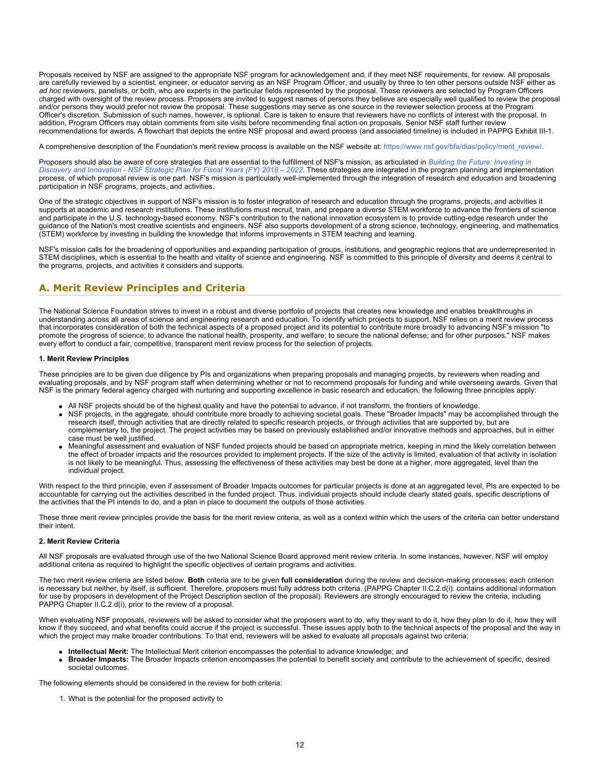Proposals received by NSF are assigned to the appropriate NSF program for acknowledgement and, if they meet NSF requirements, for review. All proposals are carefully reviewed by a scientist, engineer, or educator serving as an NSF Program Officer, and usually by three to ten other persons outside NSF either as *ad hoc* reviewers, panelists, or both, who are experts in the particular fields represented by the proposal. These reviewers are selected by Program Officers charged with oversight of the review process. Proposers are invited to suggest names of persons they believe are especially well qualified to review the proposal and/or persons they would prefer not review the proposal. These suggestions may serve as one source in the reviewer selection process at the Program Officer's discretion. Submission of such names, however, is optional. Care is taken to ensure that reviewers have no conflicts of interest with the proposal. In addition, Program Officers may obtain comments from site visits before recommending final action on proposals. Senior NSF staff further review recommendations for awards. A flowchart that depicts the entire NSF proposal and award process (and associated timeline) is included in PAPPG Exhibit III-1.

A comprehensive description of the Foundation's merit review process is available on the NSF website at: [https://www.nsf.gov/bfa/dias/policy/merit\\_review/](https://www.nsf.gov/bfa/dias/policy/merit_review/).

Proposers should also be aware of core strategies that are essential to the fulfillment of NSF's mission, as articulated in *[Building the Future: Investing in](https://www.nsf.gov/publications/pub_summ.jsp?ods_key=nsf18045) [Discovery and Innovation - NSF Strategic Plan for Fiscal Years \(FY\) 2018 – 2022](https://www.nsf.gov/publications/pub_summ.jsp?ods_key=nsf18045)*. These strategies are integrated in the program planning and implementation process, of which proposal review is one part. NSF's mission is particularly well-implemented through the integration of research and education and broadening participation in NSF programs, projects, and activities.

One of the strategic objectives in support of NSF's mission is to foster integration of research and education through the programs, projects, and activities it supports at academic and research institutions. These institutions must recruit, train, and prepare a diverse STEM workforce to advance the frontiers of science and participate in the U.S. technology-based economy. NSF's contribution to the national innovation ecosystem is to provide cutting-edge research under the guidance of the Nation's most creative scientists and engineers. NSF also supports development of a strong science, technology, engineering, and mathematics (STEM) workforce by investing in building the knowledge that informs improvements in STEM teaching and learning.

NSF's mission calls for the broadening of opportunities and expanding participation of groups, institutions, and geographic regions that are underrepresented in STEM disciplines, which is essential to the health and vitality of science and engineering. NSF is committed to this principle of diversity and deems it central to the programs, projects, and activities it considers and supports.

# <span id="page-11-0"></span>**A. Merit Review Principles and Criteria**

The National Science Foundation strives to invest in a robust and diverse portfolio of projects that creates new knowledge and enables breakthroughs in understanding across all areas of science and engineering research and education. To identify which projects to support, NSF relies on a merit review process that incorporates consideration of both the technical aspects of a proposed project and its potential to contribute more broadly to advancing NSF's mission "to promote the progress of science; to advance the national health, prosperity, and welfare; to secure the national defense; and for other purposes." NSF makes every effort to conduct a fair, competitive, transparent merit review process for the selection of projects.

## **1. Merit Review Principles**

These principles are to be given due diligence by PIs and organizations when preparing proposals and managing projects, by reviewers when reading and evaluating proposals, and by NSF program staff when determining whether or not to recommend proposals for funding and while overseeing awards. Given that NSF is the primary federal agency charged with nurturing and supporting excellence in basic research and education, the following three principles apply:

- All NSF projects should be of the highest quality and have the potential to advance, if not transform, the frontiers of knowledge.
- NSF projects, in the aggregate, should contribute more broadly to achieving societal goals. These "Broader Impacts" may be accomplished through the research itself, through activities that are directly related to specific research projects, or through activities that are supported by, but are complementary to, the project. The project activities may be based on previously established and/or innovative methods and approaches, but in either case must be well justified.
- Meaningful assessment and evaluation of NSF funded projects should be based on appropriate metrics, keeping in mind the likely correlation between the effect of broader impacts and the resources provided to implement projects. If the size of the activity is limited, evaluation of that activity in isolation is not likely to be meaningful. Thus, assessing the effectiveness of these activities may best be done at a higher, more aggregated, level than the individual project.

With respect to the third principle, even if assessment of Broader Impacts outcomes for particular projects is done at an aggregated level, PIs are expected to be accountable for carrying out the activities described in the funded project. Thus, individual projects should include clearly stated goals, specific descriptions of the activities that the PI intends to do, and a plan in place to document the outputs of those activities.

These three merit review principles provide the basis for the merit review criteria, as well as a context within which the users of the criteria can better understand their intent.

## **2. Merit Review Criteria**

All NSF proposals are evaluated through use of the two National Science Board approved merit review criteria. In some instances, however, NSF will employ additional criteria as required to highlight the specific objectives of certain programs and activities.

The two merit review criteria are listed below. **Both** criteria are to be given **full consideration** during the review and decision-making processes; each criterion is necessary but neither, by itself, is sufficient. Therefore, proposers must fully address both criteria. (PAPPG Chapter II.C.2.d(i). contains additional information for use by proposers in development of the Project Description section of the proposal). Reviewers are strongly encouraged to review the criteria, including PAPPG Chapter II.C.2.d(i), prior to the review of a proposal.

When evaluating NSF proposals, reviewers will be asked to consider what the proposers want to do, why they want to do it, how they plan to do it, how they will know if they succeed, and what benefits could accrue if the project is successful. These issues apply both to the technical aspects of the proposal and the way in which the project may make broader contributions. To that end, reviewers will be asked to evaluate all proposals against two criteria:

- **Intellectual Merit:** The Intellectual Merit criterion encompasses the potential to advance knowledge; and
- **Broader Impacts:** The Broader Impacts criterion encompasses the potential to benefit society and contribute to the achievement of specific, desired societal outcomes.

The following elements should be considered in the review for both criteria:

1. What is the potential for the proposed activity to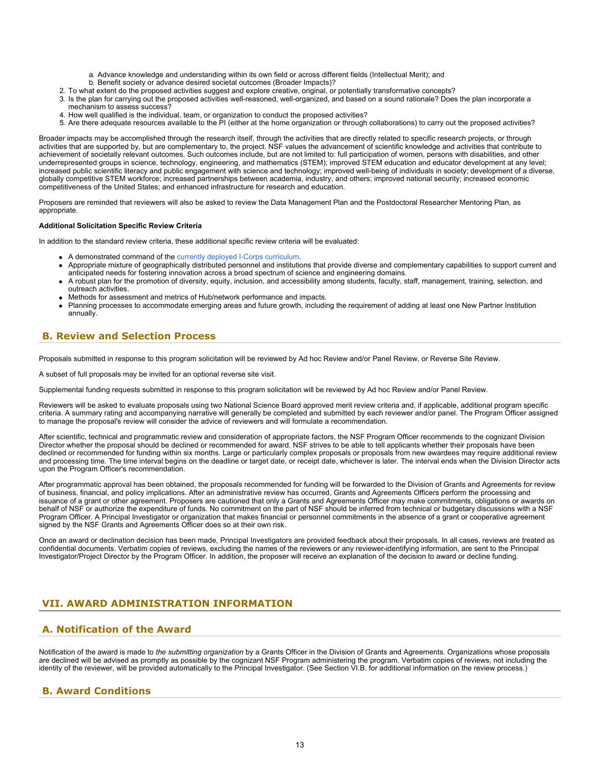- a. Advance knowledge and understanding within its own field or across different fields (Intellectual Merit); and
- b. Benefit society or advance desired societal outcomes (Broader Impacts)?
- 2. To what extent do the proposed activities suggest and explore creative, original, or potentially transformative concepts?
- 3. Is the plan for carrying out the proposed activities well-reasoned, well-organized, and based on a sound rationale? Does the plan incorporate a mechanism to assess success?
- 4. How well qualified is the individual, team, or organization to conduct the proposed activities?
- 5. Are there adequate resources available to the PI (either at the home organization or through collaborations) to carry out the proposed activities?

Broader impacts may be accomplished through the research itself, through the activities that are directly related to specific research projects, or through activities that are supported by, but are complementary to, the project. NSF values the advancement of scientific knowledge and activities that contribute to achievement of societally relevant outcomes. Such outcomes include, but are not limited to: full participation of women, persons with disabilities, and other underrepresented groups in science, technology, engineering, and mathematics (STEM); improved STEM education and educator development at any level; increased public scientific literacy and public engagement with science and technology; improved well-being of individuals in society; development of a diverse, globally competitive STEM workforce; increased partnerships between academia, industry, and others; improved national security; increased economic competitiveness of the United States; and enhanced infrastructure for research and education.

Proposers are reminded that reviewers will also be asked to review the Data Management Plan and the Postdoctoral Researcher Mentoring Plan, as appropriate.

#### **Additional Solicitation Specific Review Criteria**

In addition to the standard review criteria, these additional specific review criteria will be evaluated:

- A demonstrated command of the [currently deployed I-Corps curriculum](https://www.nsf.gov/news/special_reports/i-corps/resources.jsp).
- Appropriate mixture of geographically distributed personnel and institutions that provide diverse and complementary capabilities to support current and anticipated needs for fostering innovation across a broad spectrum of science and engineering domains.
- A robust plan for the promotion of diversity, equity, inclusion, and accessibility among students, faculty, staff, management, training, selection, and outreach activities.
- Methods for assessment and metrics of Hub/network performance and impacts.
- Planning processes to accommodate emerging areas and future growth, including the requirement of adding at least one New Partner Institution annually.

# <span id="page-12-0"></span>**B. Review and Selection Process**

Proposals submitted in response to this program solicitation will be reviewed by Ad hoc Review and/or Panel Review, or Reverse Site Review.

A subset of full proposals may be invited for an optional reverse site visit.

Supplemental funding requests submitted in response to this program solicitation will be reviewed by Ad hoc Review and/or Panel Review.

Reviewers will be asked to evaluate proposals using two National Science Board approved merit review criteria and, if applicable, additional program specific criteria. A summary rating and accompanying narrative will generally be completed and submitted by each reviewer and/or panel. The Program Officer assigned to manage the proposal's review will consider the advice of reviewers and will formulate a recommendation.

After scientific, technical and programmatic review and consideration of appropriate factors, the NSF Program Officer recommends to the cognizant Division Director whether the proposal should be declined or recommended for award. NSF strives to be able to tell applicants whether their proposals have been declined or recommended for funding within six months. Large or particularly complex proposals or proposals from new awardees may require additional review and processing time. The time interval begins on the deadline or target date, or receipt date, whichever is later. The interval ends when the Division Director acts upon the Program Officer's recommendation.

After programmatic approval has been obtained, the proposals recommended for funding will be forwarded to the Division of Grants and Agreements for review of business, financial, and policy implications. After an administrative review has occurred, Grants and Agreements Officers perform the processing and issuance of a grant or other agreement. Proposers are cautioned that only a Grants and Agreements Officer may make commitments, obligations or awards on behalf of NSF or authorize the expenditure of funds. No commitment on the part of NSF should be inferred from technical or budgetary discussions with a NSF Program Officer. A Principal Investigator or organization that makes financial or personnel commitments in the absence of a grant or cooperative agreement signed by the NSF Grants and Agreements Officer does so at their own risk.

Once an award or declination decision has been made, Principal Investigators are provided feedback about their proposals. In all cases, reviews are treated as confidential documents. Verbatim copies of reviews, excluding the names of the reviewers or any reviewer-identifying information, are sent to the Principal Investigator/Project Director by the Program Officer. In addition, the proposer will receive an explanation of the decision to award or decline funding.

# <span id="page-12-1"></span>**VII. AWARD ADMINISTRATION INFORMATION**

# <span id="page-12-2"></span>**A. Notification of the Award**

Notification of the award is made to *the submitting organization* by a Grants Officer in the Division of Grants and Agreements. Organizations whose proposals are declined will be advised as promptly as possible by the cognizant NSF Program administering the program. Verbatim copies of reviews, not including the identity of the reviewer, will be provided automatically to the Principal Investigator. (See Section VI.B. for additional information on the review process.)

# <span id="page-12-3"></span>**B. Award Conditions**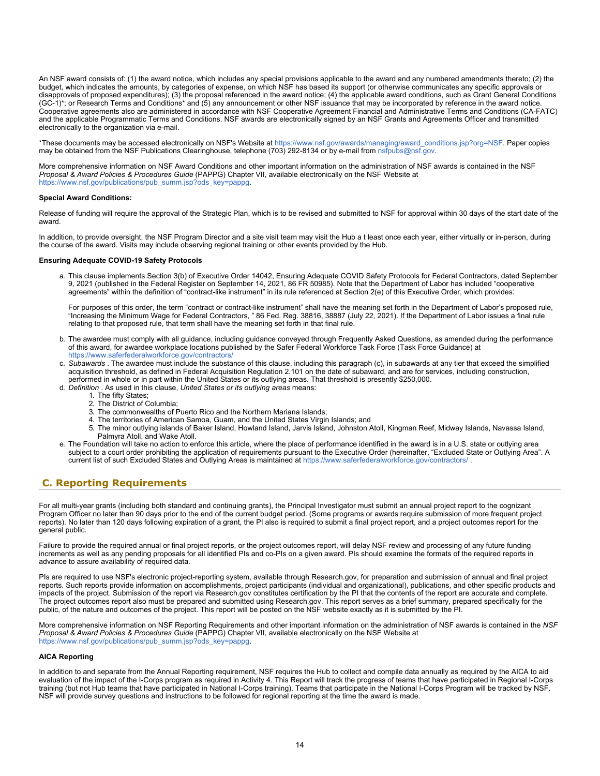An NSF award consists of: (1) the award notice, which includes any special provisions applicable to the award and any numbered amendments thereto; (2) the budget, which indicates the amounts, by categories of expense, on which NSF has based its support (or otherwise communicates any specific approvals or disapprovals of proposed expenditures); (3) the proposal referenced in the award notice; (4) the applicable award conditions, such as Grant General Conditions (GC-1)\*; or Research Terms and Conditions\* and (5) any announcement or other NSF issuance that may be incorporated by reference in the award notice. Cooperative agreements also are administered in accordance with NSF Cooperative Agreement Financial and Administrative Terms and Conditions (CA-FATC) and the applicable Programmatic Terms and Conditions. NSF awards are electronically signed by an NSF Grants and Agreements Officer and transmitted electronically to the organization via e-mail.

\*These documents may be accessed electronically on NSF's Website at [https://www.nsf.gov/awards/managing/award\\_conditions.jsp?org=NSF](https://www.nsf.gov/awards/managing/award_conditions.jsp?org=NSF). Paper copies may be obtained from the NSF Publications Clearinghouse, telephone (703) 292-8134 or by e-mail from [nsfpubs@nsf.gov.](mailto:nsfpubs@nsf.gov)

More comprehensive information on NSF Award Conditions and other important information on the administration of NSF awards is contained in the NSF *Proposal & Award Policies & Procedures Guide* (PAPPG) Chapter VII, available electronically on the NSF Website at [https://www.nsf.gov/publications/pub\\_summ.jsp?ods\\_key=pappg.](https://www.nsf.gov/publications/pub_summ.jsp?ods_key=pappg)

### **Special Award Conditions:**

Release of funding will require the approval of the Strategic Plan, which is to be revised and submitted to NSF for approval within 30 days of the start date of the award.

In addition, to provide oversight, the NSF Program Director and a site visit team may visit the Hub a t least once each year, either virtually or in-person, during the course of the award. Visits may include observing regional training or other events provided by the Hub.

#### **Ensuring Adequate COVID-19 Safety Protocols**

a. This clause implements Section 3(b) of Executive Order 14042, Ensuring Adequate COVID Safety Protocols for Federal Contractors, dated September 9, 2021 (published in the Federal Register on September 14, 2021, 86 FR 50985). Note that the Department of Labor has included "cooperative agreements" within the definition of "contract-like instrument" in its rule referenced at Section 2(e) of this Executive Order, which provides:

For purposes of this order, the term "contract or contract-like instrument" shall have the meaning set forth in the Department of Labor's proposed rule, "Increasing the Minimum Wage for Federal Contractors, " 86 Fed. Reg. 38816, 38887 (July 22, 2021). If the Department of Labor issues a final rule relating to that proposed rule, that term shall have the meaning set forth in that final rule.

- b. The awardee must comply with all guidance, including guidance conveyed through Frequently Asked Questions, as amended during the performance of this award, for awardee workplace locations published by the Safer Federal Workforce Task Force (Task Force Guidance) at <https://www.saferfederalworkforce.gov/contractors/>
- c. *Subawards* . The awardee must include the substance of this clause, including this paragraph (c), in subawards at any tier that exceed the simplified acquisition threshold, as defined in Federal Acquisition Regulation 2.101 on the date of subaward, and are for services, including construction, performed in whole or in part within the United States or its outlying areas. That threshold is presently \$250,000.
- d. *Definition* . As used in this clause, *United States or its outlying areas* means:
	- 1. The fifty States;
		- 2. The District of Columbia;
		- 3. The commonwealths of Puerto Rico and the Northern Mariana Islands;
		- 4. The territories of American Samoa, Guam, and the United States Virgin Islands; and
	- 5. The minor outlying islands of Baker Island, Howland Island, Jarvis Island, Johnston Atoll, Kingman Reef, Midway Islands, Navassa Island, Palmyra Atoll, and Wake Atoll.
- e. The Foundation will take no action to enforce this article, where the place of performance identified in the award is in a U.S. state or outlying area subject to a court order prohibiting the application of requirements pursuant to the Executive Order (hereinafter, "Excluded State or Outlying Area". A current list of such Excluded States and Outlying Areas is maintained at<https://www.saferfederalworkforce.gov/contractors/>.

# <span id="page-13-0"></span>**C. Reporting Requirements**

For all multi-year grants (including both standard and continuing grants), the Principal Investigator must submit an annual project report to the cognizant Program Officer no later than 90 days prior to the end of the current budget period. (Some programs or awards require submission of more frequent project reports). No later than 120 days following expiration of a grant, the PI also is required to submit a final project report, and a project outcomes report for the general public.

Failure to provide the required annual or final project reports, or the project outcomes report, will delay NSF review and processing of any future funding increments as well as any pending proposals for all identified PIs and co-PIs on a given award. PIs should examine the formats of the required reports in advance to assure availability of required data.

PIs are required to use NSF's electronic project-reporting system, available through Research.gov, for preparation and submission of annual and final project reports. Such reports provide information on accomplishments, project participants (individual and organizational), publications, and other specific products and impacts of the project. Submission of the report via Research.gov constitutes certification by the PI that the contents of the report are accurate and complete. The project outcomes report also must be prepared and submitted using Research.gov. This report serves as a brief summary, prepared specifically for the public, of the nature and outcomes of the project. This report will be posted on the NSF website exactly as it is submitted by the PI.

More comprehensive information on NSF Reporting Requirements and other important information on the administration of NSF awards is contained in the *NSF Proposal & Award Policies & Procedures Guide* (PAPPG) Chapter VII, available electronically on the NSF Website at [https://www.nsf.gov/publications/pub\\_summ.jsp?ods\\_key=pappg.](https://www.nsf.gov/publications/pub_summ.jsp?ods_key=pappg)

#### **AICA Reporting**

In addition to and separate from the Annual Reporting requirement, NSF requires the Hub to collect and compile data annually as required by the AICA to aid evaluation of the impact of the I-Corps program as required in Activity 4. This Report will track the progress of teams that have participated in Regional I-Corps training (but not Hub teams that have participated in National I-Corps training). Teams that participate in the National I-Corps Program will be tracked by NSF. NSF will provide survey questions and instructions to be followed for regional reporting at the time the award is made.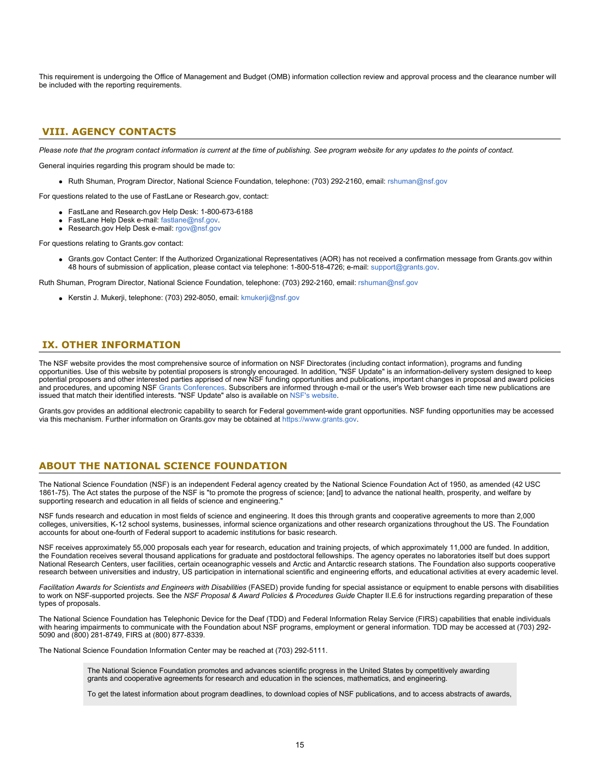This requirement is undergoing the Office of Management and Budget (OMB) information collection review and approval process and the clearance number will be included with the reporting requirements.

# <span id="page-14-0"></span>**VIII. AGENCY CONTACTS**

*Please note that the program contact information is current at the time of publishing. See program website for any updates to the points of contact.*

General inquiries regarding this program should be made to:

Ruth Shuman, Program Director, National Science Foundation, telephone: (703) 292-2160, email: [rshuman@nsf.gov](mailto:rshuman@nsf.gov)

For questions related to the use of FastLane or Research.gov, contact:

- FastLane and Research.gov Help Desk: 1-800-673-6188
- FastLane Help Desk e-mail: [fastlane@nsf.gov](mailto:fastlane@nsf.gov).
- **Research.gov Help Desk e-mail: [rgov@nsf.gov](mailto:rgov@nsf.gov)**

For questions relating to Grants.gov contact:

Grants.gov Contact Center: If the Authorized Organizational Representatives (AOR) has not received a confirmation message from Grants.gov within 48 hours of submission of application, please contact via telephone: 1-800-518-4726; e-mail: [support@grants.gov](mailto:support@grants.gov).

Ruth Shuman, Program Director, National Science Foundation, telephone: (703) 292-2160, email: [rshuman@nsf.gov](mailto:rshuman@nsf.gov)

Kerstin J. Mukerji, telephone: (703) 292-8050, email: [kmukerji@nsf.gov](mailto:kmukerji@nsf.gov)

# <span id="page-14-1"></span>**IX. OTHER INFORMATION**

The NSF website provides the most comprehensive source of information on NSF Directorates (including contact information), programs and funding opportunities. Use of this website by potential proposers is strongly encouraged. In addition, "NSF Update" is an information-delivery system designed to keep potential proposers and other interested parties apprised of new NSF funding opportunities and publications, important changes in proposal and award policies and procedures, and upcoming NSF [Grants Conferences](https://www.nsf.gov/bfa/dias/policy/outreach.jsp). Subscribers are informed through e-mail or the user's Web browser each time new publications are issued that match their identified interests. "NSF Update" also is available on [NSF's website](https://www.nsf.gov/cgi-bin/goodbye?https://public.govdelivery.com/accounts/USNSF/subscriber/new?topic_id=USNSF_179).

Grants.gov provides an additional electronic capability to search for Federal government-wide grant opportunities. NSF funding opportunities may be accessed via this mechanism. Further information on Grants.gov may be obtained at [https://www.grants.gov](https://www.grants.gov/).

# **ABOUT THE NATIONAL SCIENCE FOUNDATION**

The National Science Foundation (NSF) is an independent Federal agency created by the National Science Foundation Act of 1950, as amended (42 USC 1861-75). The Act states the purpose of the NSF is "to promote the progress of science; [and] to advance the national health, prosperity, and welfare by supporting research and education in all fields of science and engineering."

NSF funds research and education in most fields of science and engineering. It does this through grants and cooperative agreements to more than 2,000 colleges, universities, K-12 school systems, businesses, informal science organizations and other research organizations throughout the US. The Foundation accounts for about one-fourth of Federal support to academic institutions for basic research.

NSF receives approximately 55,000 proposals each year for research, education and training projects, of which approximately 11,000 are funded. In addition, the Foundation receives several thousand applications for graduate and postdoctoral fellowships. The agency operates no laboratories itself but does support National Research Centers, user facilities, certain oceanographic vessels and Arctic and Antarctic research stations. The Foundation also supports cooperative research between universities and industry, US participation in international scientific and engineering efforts, and educational activities at every academic level.

*Facilitation Awards for Scientists and Engineers with Disabilities* (FASED) provide funding for special assistance or equipment to enable persons with disabilities to work on NSF-supported projects. See the *NSF Proposal & Award Policies & Procedures Guide* Chapter II.E.6 for instructions regarding preparation of these types of proposals.

The National Science Foundation has Telephonic Device for the Deaf (TDD) and Federal Information Relay Service (FIRS) capabilities that enable individuals with hearing impairments to communicate with the Foundation about NSF programs, employment or general information. TDD may be accessed at (703) 292- 5090 and (800) 281-8749, FIRS at (800) 877-8339.

The National Science Foundation Information Center may be reached at (703) 292-5111.

The National Science Foundation promotes and advances scientific progress in the United States by competitively awarding grants and cooperative agreements for research and education in the sciences, mathematics, and engineering.

To get the latest information about program deadlines, to download copies of NSF publications, and to access abstracts of awards,